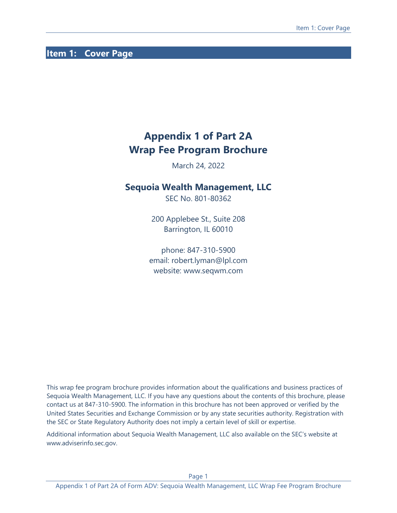# <span id="page-0-0"></span>**Item 1: Cover Page**

# **Appendix 1 of Part 2A Wrap Fee Program Brochure**

March 24, 2022

# **Sequoia Wealth Management, LLC**

SEC No. 801-80362

200 Applebee St., Suite 208 Barrington, IL 60010

phone: 847-310-5900 email: robert.lyman@lpl.com website: www.seqwm.com

This wrap fee program brochure provides information about the qualifications and business practices of Sequoia Wealth Management, LLC. If you have any questions about the contents of this brochure, please contact us at 847-310-5900. The information in this brochure has not been approved or verified by the United States Securities and Exchange Commission or by any state securities authority. Registration with the SEC or State Regulatory Authority does not imply a certain level of skill or expertise.

Additional information about Sequoia Wealth Management, LLC also available on the SEC's website at www.adviserinfo.sec.gov.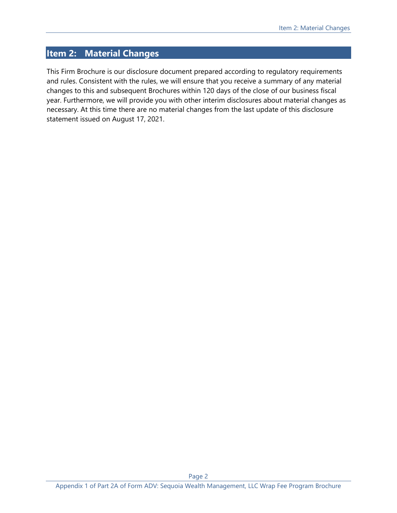# <span id="page-1-0"></span>**Item 2: Material Changes**

This Firm Brochure is our disclosure document prepared according to regulatory requirements and rules. Consistent with the rules, we will ensure that you receive a summary of any material changes to this and subsequent Brochures within 120 days of the close of our business fiscal year. Furthermore, we will provide you with other interim disclosures about material changes as necessary. At this time there are no material changes from the last update of this disclosure statement issued on August 17, 2021.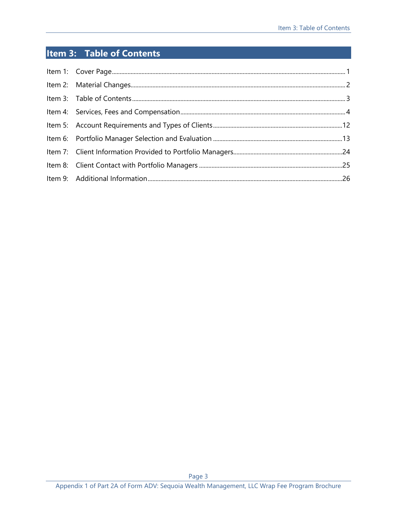# <span id="page-2-0"></span>**Item 3: Table of Contents**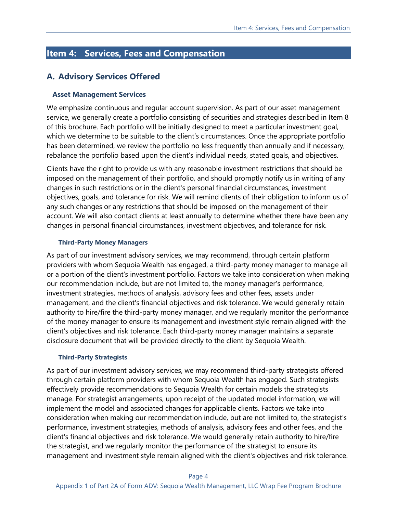# <span id="page-3-0"></span>**Item 4: Services, Fees and Compensation**

# **A. Advisory Services Offered**

#### **Asset Management Services**

We emphasize continuous and regular account supervision. As part of our asset management service, we generally create a portfolio consisting of securities and strategies described in Item 8 of this brochure. Each portfolio will be initially designed to meet a particular investment goal, which we determine to be suitable to the client's circumstances. Once the appropriate portfolio has been determined, we review the portfolio no less frequently than annually and if necessary, rebalance the portfolio based upon the client's individual needs, stated goals, and objectives.

Clients have the right to provide us with any reasonable investment restrictions that should be imposed on the management of their portfolio, and should promptly notify us in writing of any changes in such restrictions or in the client's personal financial circumstances, investment objectives, goals, and tolerance for risk. We will remind clients of their obligation to inform us of any such changes or any restrictions that should be imposed on the management of their account. We will also contact clients at least annually to determine whether there have been any changes in personal financial circumstances, investment objectives, and tolerance for risk.

#### **Third-Party Money Managers**

As part of our investment advisory services, we may recommend, through certain platform providers with whom Sequoia Wealth has engaged, a third-party money manager to manage all or a portion of the client's investment portfolio. Factors we take into consideration when making our recommendation include, but are not limited to, the money manager's performance, investment strategies, methods of analysis, advisory fees and other fees, assets under management, and the client's financial objectives and risk tolerance. We would generally retain authority to hire/fire the third-party money manager, and we regularly monitor the performance of the money manager to ensure its management and investment style remain aligned with the client's objectives and risk tolerance. Each third-party money manager maintains a separate disclosure document that will be provided directly to the client by Sequoia Wealth.

#### **Third-Party Strategists**

As part of our investment advisory services, we may recommend third-party strategists offered through certain platform providers with whom Sequoia Wealth has engaged. Such strategists effectively provide recommendations to Sequoia Wealth for certain models the strategists manage. For strategist arrangements, upon receipt of the updated model information, we will implement the model and associated changes for applicable clients. Factors we take into consideration when making our recommendation include, but are not limited to, the strategist's performance, investment strategies, methods of analysis, advisory fees and other fees, and the client's financial objectives and risk tolerance. We would generally retain authority to hire/fire the strategist, and we regularly monitor the performance of the strategist to ensure its management and investment style remain aligned with the client's objectives and risk tolerance.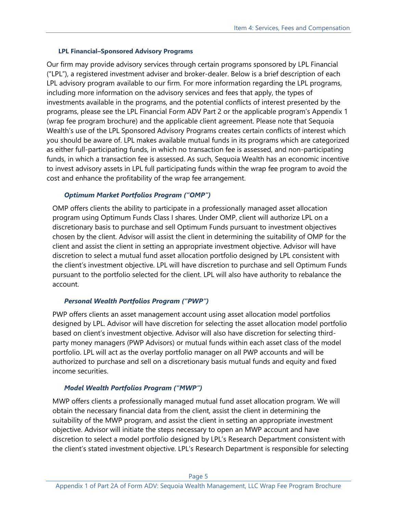#### **LPL Financial–Sponsored Advisory Programs**

Our firm may provide advisory services through certain programs sponsored by LPL Financial ("LPL"), a registered investment adviser and broker-dealer. Below is a brief description of each LPL advisory program available to our firm. For more information regarding the LPL programs, including more information on the advisory services and fees that apply, the types of investments available in the programs, and the potential conflicts of interest presented by the programs, please see the LPL Financial Form ADV Part 2 or the applicable program's Appendix 1 (wrap fee program brochure) and the applicable client agreement. Please note that Sequoia Wealth's use of the LPL Sponsored Advisory Programs creates certain conflicts of interest which you should be aware of. LPL makes available mutual funds in its programs which are categorized as either full-participating funds, in which no transaction fee is assessed, and non-participating funds, in which a transaction fee is assessed. As such, Sequoia Wealth has an economic incentive to invest advisory assets in LPL full participating funds within the wrap fee program to avoid the cost and enhance the profitability of the wrap fee arrangement.

### *Optimum Market Portfolios Program ("OMP")*

OMP offers clients the ability to participate in a professionally managed asset allocation program using Optimum Funds Class I shares. Under OMP, client will authorize LPL on a discretionary basis to purchase and sell Optimum Funds pursuant to investment objectives chosen by the client. Advisor will assist the client in determining the suitability of OMP for the client and assist the client in setting an appropriate investment objective. Advisor will have discretion to select a mutual fund asset allocation portfolio designed by LPL consistent with the client's investment objective. LPL will have discretion to purchase and sell Optimum Funds pursuant to the portfolio selected for the client. LPL will also have authority to rebalance the account.

### *Personal Wealth Portfolios Program ("PWP")*

PWP offers clients an asset management account using asset allocation model portfolios designed by LPL. Advisor will have discretion for selecting the asset allocation model portfolio based on client's investment objective. Advisor will also have discretion for selecting thirdparty money managers (PWP Advisors) or mutual funds within each asset class of the model portfolio. LPL will act as the overlay portfolio manager on all PWP accounts and will be authorized to purchase and sell on a discretionary basis mutual funds and equity and fixed income securities.

# *Model Wealth Portfolios Program ("MWP")*

MWP offers clients a professionally managed mutual fund asset allocation program. We will obtain the necessary financial data from the client, assist the client in determining the suitability of the MWP program, and assist the client in setting an appropriate investment objective. Advisor will initiate the steps necessary to open an MWP account and have discretion to select a model portfolio designed by LPL's Research Department consistent with the client's stated investment objective. LPL's Research Department is responsible for selecting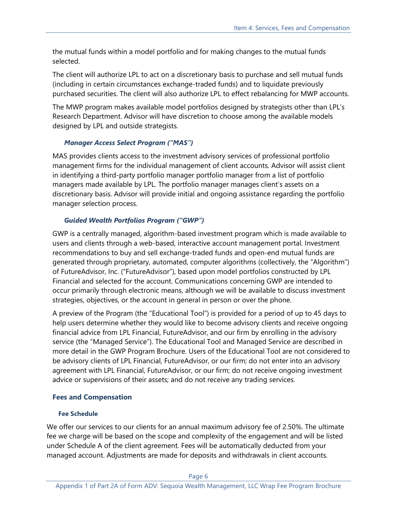the mutual funds within a model portfolio and for making changes to the mutual funds selected.

The client will authorize LPL to act on a discretionary basis to purchase and sell mutual funds (including in certain circumstances exchange-traded funds) and to liquidate previously purchased securities. The client will also authorize LPL to effect rebalancing for MWP accounts.

The MWP program makes available model portfolios designed by strategists other than LPL's Research Department. Advisor will have discretion to choose among the available models designed by LPL and outside strategists.

## *Manager Access Select Program ("MAS")*

MAS provides clients access to the investment advisory services of professional portfolio management firms for the individual management of client accounts. Advisor will assist client in identifying a third-party portfolio manager portfolio manager from a list of portfolio managers made available by LPL. The portfolio manager manages client's assets on a discretionary basis. Advisor will provide initial and ongoing assistance regarding the portfolio manager selection process.

# *Guided Wealth Portfolios Program ("GWP")*

GWP is a centrally managed, algorithm-based investment program which is made available to users and clients through a web-based, interactive account management portal. Investment recommendations to buy and sell exchange-traded funds and open-end mutual funds are generated through proprietary, automated, computer algorithms (collectively, the "Algorithm") of FutureAdvisor, Inc. ("FutureAdvisor"), based upon model portfolios constructed by LPL Financial and selected for the account. Communications concerning GWP are intended to occur primarily through electronic means, although we will be available to discuss investment strategies, objectives, or the account in general in person or over the phone.

A preview of the Program (the "Educational Tool") is provided for a period of up to 45 days to help users determine whether they would like to become advisory clients and receive ongoing financial advice from LPL Financial, FutureAdvisor, and our firm by enrolling in the advisory service (the "Managed Service"). The Educational Tool and Managed Service are described in more detail in the GWP Program Brochure. Users of the Educational Tool are not considered to be advisory clients of LPL Financial, FutureAdvisor, or our firm; do not enter into an advisory agreement with LPL Financial, FutureAdvisor, or our firm; do not receive ongoing investment advice or supervisions of their assets; and do not receive any trading services.

# **Fees and Compensation**

### **Fee Schedule**

We offer our services to our clients for an annual maximum advisory fee of 2.50%. The ultimate fee we charge will be based on the scope and complexity of the engagement and will be listed under Schedule A of the client agreement. Fees will be automatically deducted from your managed account. Adjustments are made for deposits and withdrawals in client accounts.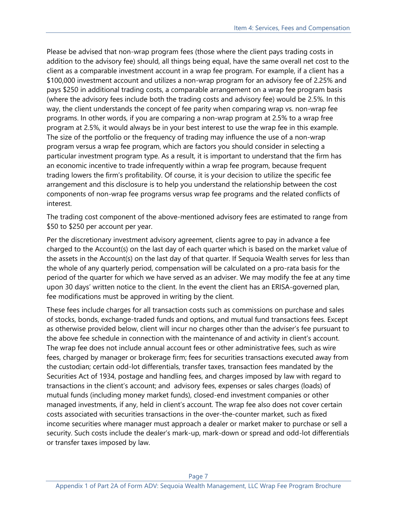Please be advised that non-wrap program fees (those where the client pays trading costs in addition to the advisory fee) should, all things being equal, have the same overall net cost to the client as a comparable investment account in a wrap fee program. For example, if a client has a \$100,000 investment account and utilizes a non-wrap program for an advisory fee of 2.25% and pays \$250 in additional trading costs, a comparable arrangement on a wrap fee program basis (where the advisory fees include both the trading costs and advisory fee) would be 2.5%. In this way, the client understands the concept of fee parity when comparing wrap vs. non-wrap fee programs. In other words, if you are comparing a non-wrap program at 2.5% to a wrap free program at 2.5%, it would always be in your best interest to use the wrap fee in this example. The size of the portfolio or the frequency of trading may influence the use of a non-wrap program versus a wrap fee program, which are factors you should consider in selecting a particular investment program type. As a result, it is important to understand that the firm has an economic incentive to trade infrequently within a wrap fee program, because frequent trading lowers the firm's profitability. Of course, it is your decision to utilize the specific fee arrangement and this disclosure is to help you understand the relationship between the cost components of non-wrap fee programs versus wrap fee programs and the related conflicts of interest.

The trading cost component of the above-mentioned advisory fees are estimated to range from \$50 to \$250 per account per year.

Per the discretionary investment advisory agreement, clients agree to pay in advance a fee charged to the Account(s) on the last day of each quarter which is based on the market value of the assets in the Account(s) on the last day of that quarter. If Sequoia Wealth serves for less than the whole of any quarterly period, compensation will be calculated on a pro-rata basis for the period of the quarter for which we have served as an adviser. We may modify the fee at any time upon 30 days' written notice to the client. In the event the client has an ERISA-governed plan, fee modifications must be approved in writing by the client.

These fees include charges for all transaction costs such as commissions on purchase and sales of stocks, bonds, exchange-traded funds and options, and mutual fund transactions fees. Except as otherwise provided below, client will incur no charges other than the adviser's fee pursuant to the above fee schedule in connection with the maintenance of and activity in client's account. The wrap fee does not include annual account fees or other administrative fees, such as wire fees, charged by manager or brokerage firm; fees for securities transactions executed away from the custodian; certain odd-lot differentials, transfer taxes, transaction fees mandated by the Securities Act of 1934, postage and handling fees, and charges imposed by law with regard to transactions in the client's account; and advisory fees, expenses or sales charges (loads) of mutual funds (including money market funds), closed-end investment companies or other managed investments, if any, held in client's account. The wrap fee also does not cover certain costs associated with securities transactions in the over-the-counter market, such as fixed income securities where manager must approach a dealer or market maker to purchase or sell a security. Such costs include the dealer's mark-up, mark-down or spread and odd-lot differentials or transfer taxes imposed by law.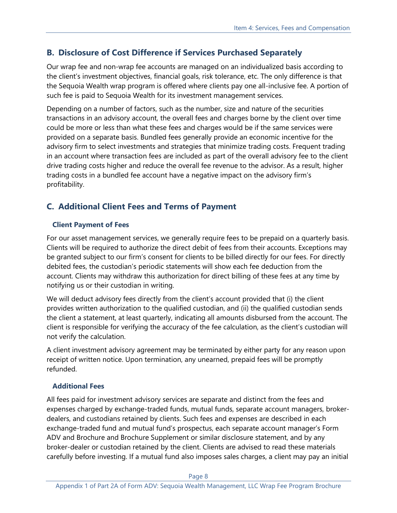# **B. Disclosure of Cost Difference if Services Purchased Separately**

Our wrap fee and non-wrap fee accounts are managed on an individualized basis according to the client's investment objectives, financial goals, risk tolerance, etc. The only difference is that the Sequoia Wealth wrap program is offered where clients pay one all-inclusive fee. A portion of such fee is paid to Sequoia Wealth for its investment management services.

Depending on a number of factors, such as the number, size and nature of the securities transactions in an advisory account, the overall fees and charges borne by the client over time could be more or less than what these fees and charges would be if the same services were provided on a separate basis. Bundled fees generally provide an economic incentive for the advisory firm to select investments and strategies that minimize trading costs. Frequent trading in an account where transaction fees are included as part of the overall advisory fee to the client drive trading costs higher and reduce the overall fee revenue to the advisor. As a result, higher trading costs in a bundled fee account have a negative impact on the advisory firm's profitability.

# **C. Additional Client Fees and Terms of Payment**

# **Client Payment of Fees**

For our asset management services, we generally require fees to be prepaid on a quarterly basis. Clients will be required to authorize the direct debit of fees from their accounts. Exceptions may be granted subject to our firm's consent for clients to be billed directly for our fees. For directly debited fees, the custodian's periodic statements will show each fee deduction from the account. Clients may withdraw this authorization for direct billing of these fees at any time by notifying us or their custodian in writing.

We will deduct advisory fees directly from the client's account provided that (i) the client provides written authorization to the qualified custodian, and (ii) the qualified custodian sends the client a statement, at least quarterly, indicating all amounts disbursed from the account. The client is responsible for verifying the accuracy of the fee calculation, as the client's custodian will not verify the calculation.

A client investment advisory agreement may be terminated by either party for any reason upon receipt of written notice. Upon termination, any unearned, prepaid fees will be promptly refunded.

# **Additional Fees**

All fees paid for investment advisory services are separate and distinct from the fees and expenses charged by exchange-traded funds, mutual funds, separate account managers, brokerdealers, and custodians retained by clients. Such fees and expenses are described in each exchange-traded fund and mutual fund's prospectus, each separate account manager's Form ADV and Brochure and Brochure Supplement or similar disclosure statement, and by any broker-dealer or custodian retained by the client. Clients are advised to read these materials carefully before investing. If a mutual fund also imposes sales charges, a client may pay an initial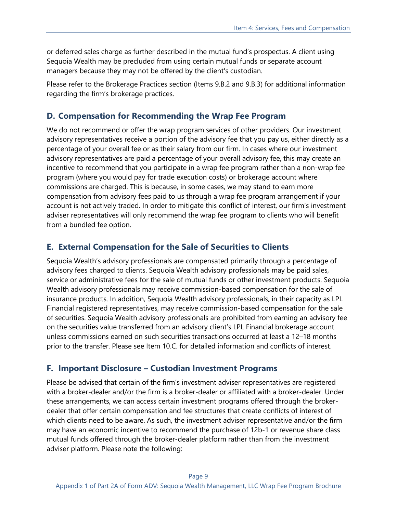or deferred sales charge as further described in the mutual fund's prospectus. A client using Sequoia Wealth may be precluded from using certain mutual funds or separate account managers because they may not be offered by the client's custodian.

Please refer to the Brokerage Practices section (Items 9.B.2 and 9.B.3) for additional information regarding the firm's brokerage practices.

# **D. Compensation for Recommending the Wrap Fee Program**

We do not recommend or offer the wrap program services of other providers. Our investment advisory representatives receive a portion of the advisory fee that you pay us, either directly as a percentage of your overall fee or as their salary from our firm. In cases where our investment advisory representatives are paid a percentage of your overall advisory fee, this may create an incentive to recommend that you participate in a wrap fee program rather than a non-wrap fee program (where you would pay for trade execution costs) or brokerage account where commissions are charged. This is because, in some cases, we may stand to earn more compensation from advisory fees paid to us through a wrap fee program arrangement if your account is not actively traded. In order to mitigate this conflict of interest, our firm's investment adviser representatives will only recommend the wrap fee program to clients who will benefit from a bundled fee option.

# **E. External Compensation for the Sale of Securities to Clients**

Sequoia Wealth's advisory professionals are compensated primarily through a percentage of advisory fees charged to clients. Sequoia Wealth advisory professionals may be paid sales, service or administrative fees for the sale of mutual funds or other investment products. Sequoia Wealth advisory professionals may receive commission-based compensation for the sale of insurance products. In addition, Sequoia Wealth advisory professionals, in their capacity as LPL Financial registered representatives, may receive commission-based compensation for the sale of securities. Sequoia Wealth advisory professionals are prohibited from earning an advisory fee on the securities value transferred from an advisory client's LPL Financial brokerage account unless commissions earned on such securities transactions occurred at least a 12–18 months prior to the transfer. Please see Item 10.C. for detailed information and conflicts of interest.

# **F. Important Disclosure – Custodian Investment Programs**

Please be advised that certain of the firm's investment adviser representatives are registered with a broker-dealer and/or the firm is a broker-dealer or affiliated with a broker-dealer. Under these arrangements, we can access certain investment programs offered through the brokerdealer that offer certain compensation and fee structures that create conflicts of interest of which clients need to be aware. As such, the investment adviser representative and/or the firm may have an economic incentive to recommend the purchase of 12b-1 or revenue share class mutual funds offered through the broker-dealer platform rather than from the investment adviser platform. Please note the following: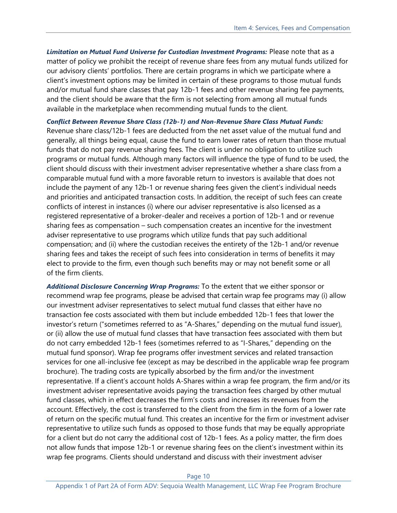*Limitation on Mutual Fund Universe for Custodian Investment Programs:* Please note that as a matter of policy we prohibit the receipt of revenue share fees from any mutual funds utilized for our advisory clients' portfolios. There are certain programs in which we participate where a client's investment options may be limited in certain of these programs to those mutual funds and/or mutual fund share classes that pay 12b-1 fees and other revenue sharing fee payments, and the client should be aware that the firm is not selecting from among all mutual funds available in the marketplace when recommending mutual funds to the client.

*Conflict Between Revenue Share Class (12b-1) and Non-Revenue Share Class Mutual Funds:* Revenue share class/12b-1 fees are deducted from the net asset value of the mutual fund and generally, all things being equal, cause the fund to earn lower rates of return than those mutual funds that do not pay revenue sharing fees. The client is under no obligation to utilize such programs or mutual funds. Although many factors will influence the type of fund to be used, the client should discuss with their investment adviser representative whether a share class from a comparable mutual fund with a more favorable return to investors is available that does not include the payment of any 12b-1 or revenue sharing fees given the client's individual needs and priorities and anticipated transaction costs. In addition, the receipt of such fees can create conflicts of interest in instances (i) where our adviser representative is also licensed as a registered representative of a broker-dealer and receives a portion of 12b-1 and or revenue sharing fees as compensation – such compensation creates an incentive for the investment adviser representative to use programs which utilize funds that pay such additional compensation; and (ii) where the custodian receives the entirety of the 12b-1 and/or revenue sharing fees and takes the receipt of such fees into consideration in terms of benefits it may elect to provide to the firm, even though such benefits may or may not benefit some or all of the firm clients.

*Additional Disclosure Concerning Wrap Programs:* To the extent that we either sponsor or recommend wrap fee programs, please be advised that certain wrap fee programs may (i) allow our investment adviser representatives to select mutual fund classes that either have no transaction fee costs associated with them but include embedded 12b-1 fees that lower the investor's return ("sometimes referred to as "A-Shares," depending on the mutual fund issuer), or (ii) allow the use of mutual fund classes that have transaction fees associated with them but do not carry embedded 12b-1 fees (sometimes referred to as "I-Shares," depending on the mutual fund sponsor). Wrap fee programs offer investment services and related transaction services for one all-inclusive fee (except as may be described in the applicable wrap fee program brochure). The trading costs are typically absorbed by the firm and/or the investment representative. If a client's account holds A-Shares within a wrap fee program, the firm and/or its investment adviser representative avoids paying the transaction fees charged by other mutual fund classes, which in effect decreases the firm's costs and increases its revenues from the account. Effectively, the cost is transferred to the client from the firm in the form of a lower rate of return on the specific mutual fund. This creates an incentive for the firm or investment adviser representative to utilize such funds as opposed to those funds that may be equally appropriate for a client but do not carry the additional cost of 12b-1 fees. As a policy matter, the firm does not allow funds that impose 12b-1 or revenue sharing fees on the client's investment within its wrap fee programs. Clients should understand and discuss with their investment adviser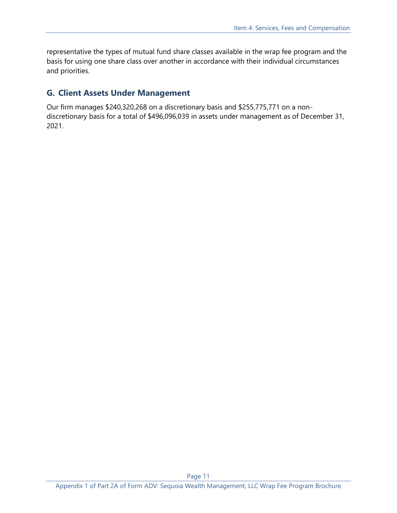representative the types of mutual fund share classes available in the wrap fee program and the basis for using one share class over another in accordance with their individual circumstances and priorities.

# **G. Client Assets Under Management**

Our firm manages \$240,320,268 on a discretionary basis and \$255,775,771 on a nondiscretionary basis for a total of \$496,096,039 in assets under management as of December 31, 2021.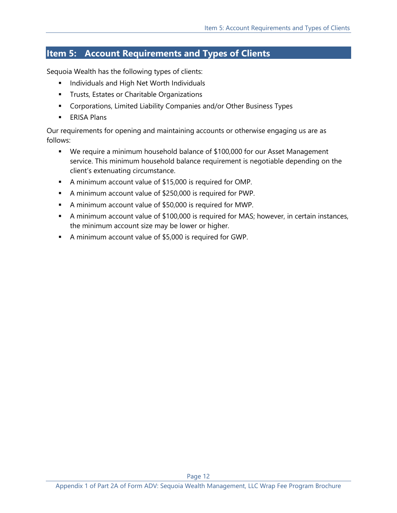# <span id="page-11-0"></span>**Item 5: Account Requirements and Types of Clients**

Sequoia Wealth has the following types of clients:

- **■** Individuals and High Net Worth Individuals
- **Trusts, Estates or Charitable Organizations**
- Corporations, Limited Liability Companies and/or Other Business Types
- **■** ERISA Plans

Our requirements for opening and maintaining accounts or otherwise engaging us are as follows:

- We require a minimum household balance of \$100,000 for our Asset Management service. This minimum household balance requirement is negotiable depending on the client's extenuating circumstance.
- A minimum account value of \$15,000 is required for OMP.
- A minimum account value of \$250,000 is required for PWP.
- A minimum account value of \$50,000 is required for MWP.
- A minimum account value of \$100,000 is required for MAS; however, in certain instances, the minimum account size may be lower or higher.
- A minimum account value of \$5,000 is required for GWP.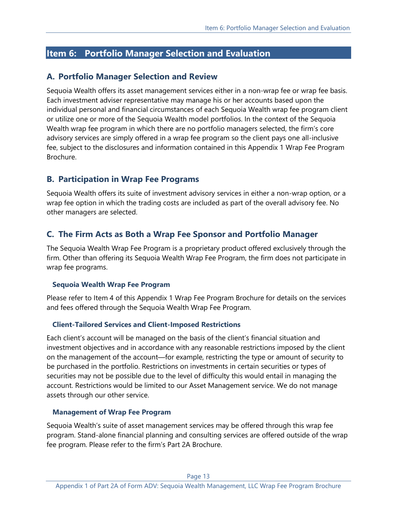# <span id="page-12-0"></span>**Item 6: Portfolio Manager Selection and Evaluation**

# **A. Portfolio Manager Selection and Review**

Sequoia Wealth offers its asset management services either in a non-wrap fee or wrap fee basis. Each investment adviser representative may manage his or her accounts based upon the individual personal and financial circumstances of each Sequoia Wealth wrap fee program client or utilize one or more of the Sequoia Wealth model portfolios. In the context of the Sequoia Wealth wrap fee program in which there are no portfolio managers selected, the firm's core advisory services are simply offered in a wrap fee program so the client pays one all-inclusive fee, subject to the disclosures and information contained in this Appendix 1 Wrap Fee Program Brochure.

## **B. Participation in Wrap Fee Programs**

Sequoia Wealth offers its suite of investment advisory services in either a non-wrap option, or a wrap fee option in which the trading costs are included as part of the overall advisory fee. No other managers are selected.

# **C. The Firm Acts as Both a Wrap Fee Sponsor and Portfolio Manager**

The Sequoia Wealth Wrap Fee Program is a proprietary product offered exclusively through the firm. Other than offering its Sequoia Wealth Wrap Fee Program, the firm does not participate in wrap fee programs.

#### **Sequoia Wealth Wrap Fee Program**

Please refer to Item 4 of this Appendix 1 Wrap Fee Program Brochure for details on the services and fees offered through the Sequoia Wealth Wrap Fee Program.

#### **Client-Tailored Services and Client-Imposed Restrictions**

Each client's account will be managed on the basis of the client's financial situation and investment objectives and in accordance with any reasonable restrictions imposed by the client on the management of the account—for example, restricting the type or amount of security to be purchased in the portfolio. Restrictions on investments in certain securities or types of securities may not be possible due to the level of difficulty this would entail in managing the account. Restrictions would be limited to our Asset Management service. We do not manage assets through our other service.

#### **Management of Wrap Fee Program**

Sequoia Wealth's suite of asset management services may be offered through this wrap fee program. Stand-alone financial planning and consulting services are offered outside of the wrap fee program. Please refer to the firm's Part 2A Brochure.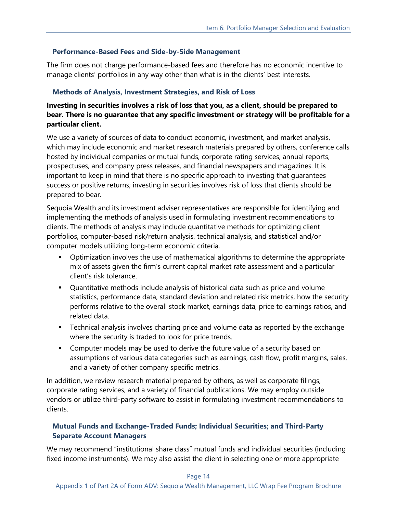### **Performance-Based Fees and Side-by-Side Management**

The firm does not charge performance-based fees and therefore has no economic incentive to manage clients' portfolios in any way other than what is in the clients' best interests.

## **Methods of Analysis, Investment Strategies, and Risk of Loss**

# **Investing in securities involves a risk of loss that you, as a client, should be prepared to bear. There is no guarantee that any specific investment or strategy will be profitable for a particular client.**

We use a variety of sources of data to conduct economic, investment, and market analysis, which may include economic and market research materials prepared by others, conference calls hosted by individual companies or mutual funds, corporate rating services, annual reports, prospectuses, and company press releases, and financial newspapers and magazines. It is important to keep in mind that there is no specific approach to investing that guarantees success or positive returns; investing in securities involves risk of loss that clients should be prepared to bear.

Sequoia Wealth and its investment adviser representatives are responsible for identifying and implementing the methods of analysis used in formulating investment recommendations to clients. The methods of analysis may include quantitative methods for optimizing client portfolios, computer-based risk/return analysis, technical analysis, and statistical and/or computer models utilizing long-term economic criteria.

- Optimization involves the use of mathematical algorithms to determine the appropriate mix of assets given the firm's current capital market rate assessment and a particular client's risk tolerance.
- Quantitative methods include analysis of historical data such as price and volume statistics, performance data, standard deviation and related risk metrics, how the security performs relative to the overall stock market, earnings data, price to earnings ratios, and related data.
- **EXED** Technical analysis involves charting price and volume data as reported by the exchange where the security is traded to look for price trends.
- Computer models may be used to derive the future value of a security based on assumptions of various data categories such as earnings, cash flow, profit margins, sales, and a variety of other company specific metrics.

In addition, we review research material prepared by others, as well as corporate filings, corporate rating services, and a variety of financial publications. We may employ outside vendors or utilize third-party software to assist in formulating investment recommendations to clients.

## **Mutual Funds and Exchange-Traded Funds; Individual Securities; and Third-Party Separate Account Managers**

We may recommend "institutional share class" mutual funds and individual securities (including fixed income instruments). We may also assist the client in selecting one or more appropriate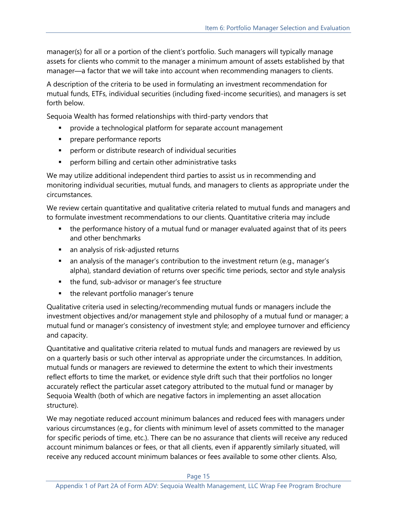manager(s) for all or a portion of the client's portfolio. Such managers will typically manage assets for clients who commit to the manager a minimum amount of assets established by that manager—a factor that we will take into account when recommending managers to clients.

A description of the criteria to be used in formulating an investment recommendation for mutual funds, ETFs, individual securities (including fixed-income securities), and managers is set forth below.

Sequoia Wealth has formed relationships with third-party vendors that

- **•** provide a technological platform for separate account management
- **·** prepare performance reports
- perform or distribute research of individual securities
- perform billing and certain other administrative tasks

We may utilize additional independent third parties to assist us in recommending and monitoring individual securities, mutual funds, and managers to clients as appropriate under the circumstances.

We review certain quantitative and qualitative criteria related to mutual funds and managers and to formulate investment recommendations to our clients. Quantitative criteria may include

- the performance history of a mutual fund or manager evaluated against that of its peers and other benchmarks
- an analysis of risk-adjusted returns
- an analysis of the manager's contribution to the investment return (e.g., manager's alpha), standard deviation of returns over specific time periods, sector and style analysis
- the fund, sub-advisor or manager's fee structure
- the relevant portfolio manager's tenure

Qualitative criteria used in selecting/recommending mutual funds or managers include the investment objectives and/or management style and philosophy of a mutual fund or manager; a mutual fund or manager's consistency of investment style; and employee turnover and efficiency and capacity.

Quantitative and qualitative criteria related to mutual funds and managers are reviewed by us on a quarterly basis or such other interval as appropriate under the circumstances. In addition, mutual funds or managers are reviewed to determine the extent to which their investments reflect efforts to time the market, or evidence style drift such that their portfolios no longer accurately reflect the particular asset category attributed to the mutual fund or manager by Sequoia Wealth (both of which are negative factors in implementing an asset allocation structure).

We may negotiate reduced account minimum balances and reduced fees with managers under various circumstances (e.g., for clients with minimum level of assets committed to the manager for specific periods of time, etc.). There can be no assurance that clients will receive any reduced account minimum balances or fees, or that all clients, even if apparently similarly situated, will receive any reduced account minimum balances or fees available to some other clients. Also,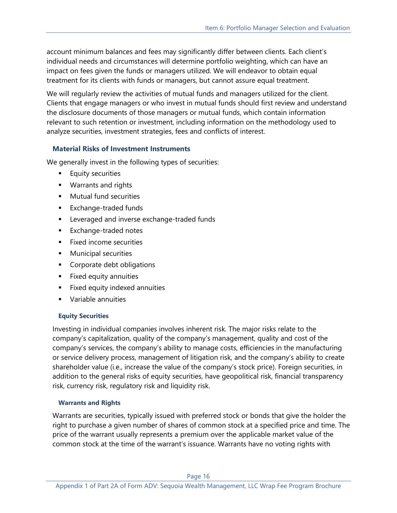account minimum balances and fees may significantly differ between clients. Each client's individual needs and circumstances will determine portfolio weighting, which can have an impact on fees given the funds or managers utilized. We will endeavor to obtain equal treatment for its clients with funds or managers, but cannot assure equal treatment.

We will regularly review the activities of mutual funds and managers utilized for the client. Clients that engage managers or who invest in mutual funds should first review and understand the disclosure documents of those managers or mutual funds, which contain information relevant to such retention or investment, including information on the methodology used to analyze securities, investment strategies, fees and conflicts of interest.

## **Material Risks of Investment Instruments**

We generally invest in the following types of securities:

- **Equity securities**
- Warrants and rights
- Mutual fund securities
- Exchange-traded funds
- Leveraged and inverse exchange-traded funds
- Exchange-traded notes
- Fixed income securities
- **■** Municipal securities
- Corporate debt obligations
- **EXECUTE:** Fixed equity annuities
- **EXECUTE FIXED EQUATE:** Fixed equity indexed annuities
- Variable annuities

### **Equity Securities**

Investing in individual companies involves inherent risk. The major risks relate to the company's capitalization, quality of the company's management, quality and cost of the company's services, the company's ability to manage costs, efficiencies in the manufacturing or service delivery process, management of litigation risk, and the company's ability to create shareholder value (i.e., increase the value of the company's stock price). Foreign securities, in addition to the general risks of equity securities, have geopolitical risk, financial transparency risk, currency risk, regulatory risk and liquidity risk.

### **Warrants and Rights**

Warrants are securities, typically issued with preferred stock or bonds that give the holder the right to purchase a given number of shares of common stock at a specified price and time. The price of the warrant usually represents a premium over the applicable market value of the common stock at the time of the warrant's issuance. Warrants have no voting rights with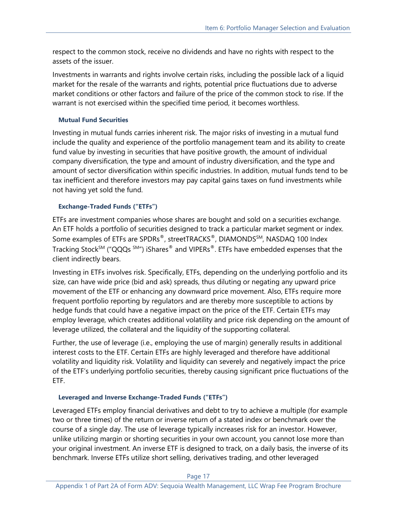respect to the common stock, receive no dividends and have no rights with respect to the assets of the issuer.

Investments in warrants and rights involve certain risks, including the possible lack of a liquid market for the resale of the warrants and rights, potential price fluctuations due to adverse market conditions or other factors and failure of the price of the common stock to rise. If the warrant is not exercised within the specified time period, it becomes worthless.

### **Mutual Fund Securities**

Investing in mutual funds carries inherent risk. The major risks of investing in a mutual fund include the quality and experience of the portfolio management team and its ability to create fund value by investing in securities that have positive growth, the amount of individual company diversification, the type and amount of industry diversification, and the type and amount of sector diversification within specific industries. In addition, mutual funds tend to be tax inefficient and therefore investors may pay capital gains taxes on fund investments while not having yet sold the fund.

### **Exchange-Traded Funds ("ETFs")**

ETFs are investment companies whose shares are bought and sold on a securities exchange. An ETF holds a portfolio of securities designed to track a particular market segment or index. Some examples of ETFs are SPDRs®, streetTRACKS®, DIAMONDSSM, NASDAQ 100 Index Tracking Stock<sup>SM</sup> ("QQQs<sup>SM</sup>") iShares<sup>®</sup> and VIPERs<sup>®</sup>. ETFs have embedded expenses that the client indirectly bears.

Investing in ETFs involves risk. Specifically, ETFs, depending on the underlying portfolio and its size, can have wide price (bid and ask) spreads, thus diluting or negating any upward price movement of the ETF or enhancing any downward price movement. Also, ETFs require more frequent portfolio reporting by regulators and are thereby more susceptible to actions by hedge funds that could have a negative impact on the price of the ETF. Certain ETFs may employ leverage, which creates additional volatility and price risk depending on the amount of leverage utilized, the collateral and the liquidity of the supporting collateral.

Further, the use of leverage (i.e., employing the use of margin) generally results in additional interest costs to the ETF. Certain ETFs are highly leveraged and therefore have additional volatility and liquidity risk. Volatility and liquidity can severely and negatively impact the price of the ETF's underlying portfolio securities, thereby causing significant price fluctuations of the ETF.

# **Leveraged and Inverse Exchange-Traded Funds ("ETFs")**

Leveraged ETFs employ financial derivatives and debt to try to achieve a multiple (for example two or three times) of the return or inverse return of a stated index or benchmark over the course of a single day. The use of leverage typically increases risk for an investor. However, unlike utilizing margin or shorting securities in your own account, you cannot lose more than your original investment. An inverse ETF is designed to track, on a daily basis, the inverse of its benchmark. Inverse ETFs utilize short selling, derivatives trading, and other leveraged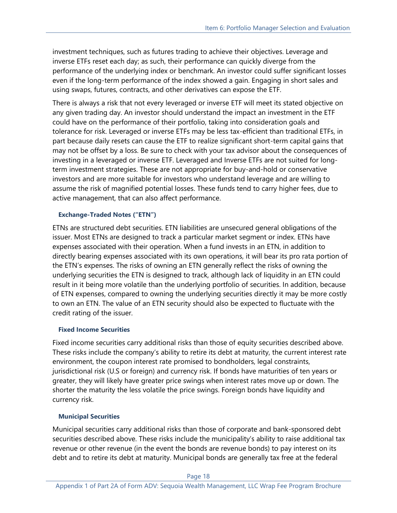investment techniques, such as futures trading to achieve their objectives. Leverage and inverse ETFs reset each day; as such, their performance can quickly diverge from the performance of the underlying index or benchmark. An investor could suffer significant losses even if the long-term performance of the index showed a gain. Engaging in short sales and using swaps, futures, contracts, and other derivatives can expose the ETF.

There is always a risk that not every leveraged or inverse ETF will meet its stated objective on any given trading day. An investor should understand the impact an investment in the ETF could have on the performance of their portfolio, taking into consideration goals and tolerance for risk. Leveraged or inverse ETFs may be less tax-efficient than traditional ETFs, in part because daily resets can cause the ETF to realize significant short-term capital gains that may not be offset by a loss. Be sure to check with your tax advisor about the consequences of investing in a leveraged or inverse ETF. Leveraged and Inverse ETFs are not suited for longterm investment strategies. These are not appropriate for buy-and-hold or conservative investors and are more suitable for investors who understand leverage and are willing to assume the risk of magnified potential losses. These funds tend to carry higher fees, due to active management, that can also affect performance.

#### **Exchange-Traded Notes ("ETN")**

ETNs are structured debt securities. ETN liabilities are unsecured general obligations of the issuer. Most ETNs are designed to track a particular market segment or index. ETNs have expenses associated with their operation. When a fund invests in an ETN, in addition to directly bearing expenses associated with its own operations, it will bear its pro rata portion of the ETN's expenses. The risks of owning an ETN generally reflect the risks of owning the underlying securities the ETN is designed to track, although lack of liquidity in an ETN could result in it being more volatile than the underlying portfolio of securities. In addition, because of ETN expenses, compared to owning the underlying securities directly it may be more costly to own an ETN. The value of an ETN security should also be expected to fluctuate with the credit rating of the issuer.

### **Fixed Income Securities**

Fixed income securities carry additional risks than those of equity securities described above. These risks include the company's ability to retire its debt at maturity, the current interest rate environment, the coupon interest rate promised to bondholders, legal constraints, jurisdictional risk (U.S or foreign) and currency risk. If bonds have maturities of ten years or greater, they will likely have greater price swings when interest rates move up or down. The shorter the maturity the less volatile the price swings. Foreign bonds have liquidity and currency risk.

### **Municipal Securities**

Municipal securities carry additional risks than those of corporate and bank-sponsored debt securities described above. These risks include the municipality's ability to raise additional tax revenue or other revenue (in the event the bonds are revenue bonds) to pay interest on its debt and to retire its debt at maturity. Municipal bonds are generally tax free at the federal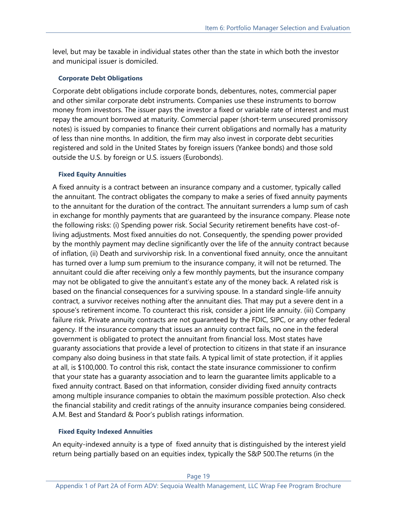level, but may be taxable in individual states other than the state in which both the investor and municipal issuer is domiciled.

#### **Corporate Debt Obligations**

Corporate debt obligations include corporate bonds, debentures, notes, commercial paper and other similar corporate debt instruments. Companies use these instruments to borrow money from investors. The issuer pays the investor a fixed or variable rate of interest and must repay the amount borrowed at maturity. Commercial paper (short-term unsecured promissory notes) is issued by companies to finance their current obligations and normally has a maturity of less than nine months. In addition, the firm may also invest in corporate debt securities registered and sold in the United States by foreign issuers (Yankee bonds) and those sold outside the U.S. by foreign or U.S. issuers (Eurobonds).

#### **Fixed Equity Annuities**

A fixed annuity is a contract between an insurance company and a customer, typically called the annuitant. The contract obligates the company to make a series of fixed annuity payments to the annuitant for the duration of the contract. The annuitant surrenders a lump sum of cash in exchange for monthly payments that are guaranteed by the insurance company. Please note the following risks: (i) Spending power risk. Social Security retirement benefits have cost-ofliving adjustments. Most fixed annuities do not. Consequently, the spending power provided by the monthly payment may decline significantly over the life of the annuity contract because of inflation, (ii) Death and survivorship risk. In a conventional fixed annuity, once the annuitant has turned over a lump sum premium to the insurance company, it will not be returned. The annuitant could die after receiving only a few monthly payments, but the insurance company may not be obligated to give the annuitant's estate any of the money back. A related risk is based on the financial consequences for a surviving spouse. In a standard single-life annuity contract, a survivor receives nothing after the annuitant dies. That may put a severe dent in a spouse's retirement income. To counteract this risk, consider a joint life annuity. (iii) Company failure risk. Private annuity contracts are not guaranteed by the FDIC, SIPC, or any other federal agency. If the insurance company that issues an annuity contract fails, no one in the federal government is obligated to protect the annuitant from financial loss. Most states have guaranty associations that provide a level of protection to citizens in that state if an insurance company also doing business in that state fails. A typical limit of state protection, if it applies at all, is \$100,000. To control this risk, contact the state insurance commissioner to confirm that your state has a guaranty association and to learn the guarantee limits applicable to a fixed annuity contract. Based on that information, consider dividing fixed annuity contracts among multiple insurance companies to obtain the maximum possible protection. Also check the financial stability and credit ratings of the annuity insurance companies being considered. A.M. Best and Standard & Poor's publish ratings information.

#### **Fixed Equity Indexed Annuities**

An equity-indexed annuity is a type of fixed annuity that is distinguished by the interest yield return being partially based on an equities index, typically the S&P 500.The returns (in the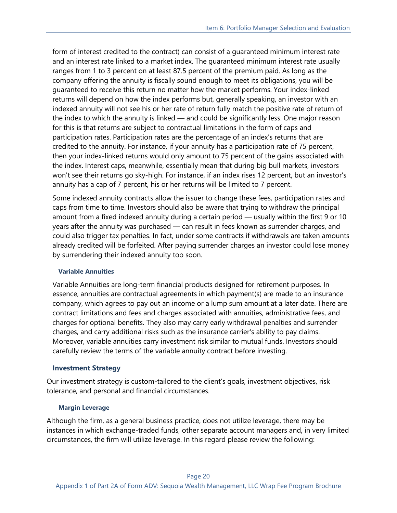form of interest credited to the contract) can consist of a guaranteed minimum interest rate and an interest rate linked to a market index. The guaranteed minimum interest rate usually ranges from 1 to 3 percent on at least 87.5 percent of the premium paid. As long as the company offering the annuity is fiscally sound enough to meet its obligations, you will be guaranteed to receive this return no matter how the market performs. Your index-linked returns will depend on how the index performs but, generally speaking, an investor with an indexed annuity will not see his or her rate of return fully match the positive rate of return of the index to which the annuity is linked — and could be significantly less. One major reason for this is that returns are subject to contractual limitations in the form of caps and participation rates. Participation rates are the percentage of an index's returns that are credited to the annuity. For instance, if your annuity has a participation rate of 75 percent, then your index-linked returns would only amount to 75 percent of the gains associated with the index. Interest caps, meanwhile, essentially mean that during big bull markets, investors won't see their returns go sky-high. For instance, if an index rises 12 percent, but an investor's annuity has a cap of 7 percent, his or her returns will be limited to 7 percent.

Some indexed annuity contracts allow the issuer to change these fees, participation rates and caps from time to time. Investors should also be aware that trying to withdraw the principal amount from a fixed indexed annuity during a certain period — usually within the first 9 or 10 years after the annuity was purchased — can result in fees known as surrender charges, and could also trigger tax penalties. In fact, under some contracts if withdrawals are taken amounts already credited will be forfeited. After paying surrender charges an investor could lose money by surrendering their indexed annuity too soon.

#### **Variable Annuities**

Variable Annuities are long-term financial products designed for retirement purposes. In essence, annuities are contractual agreements in which payment(s) are made to an insurance company, which agrees to pay out an income or a lump sum amount at a later date. There are contract limitations and fees and charges associated with annuities, administrative fees, and charges for optional benefits. They also may carry early withdrawal penalties and surrender charges, and carry additional risks such as the insurance carrier's ability to pay claims. Moreover, variable annuities carry investment risk similar to mutual funds. Investors should carefully review the terms of the variable annuity contract before investing.

### **Investment Strategy**

Our investment strategy is custom-tailored to the client's goals, investment objectives, risk tolerance, and personal and financial circumstances.

### **Margin Leverage**

Although the firm, as a general business practice, does not utilize leverage, there may be instances in which exchange-traded funds, other separate account managers and, in very limited circumstances, the firm will utilize leverage. In this regard please review the following: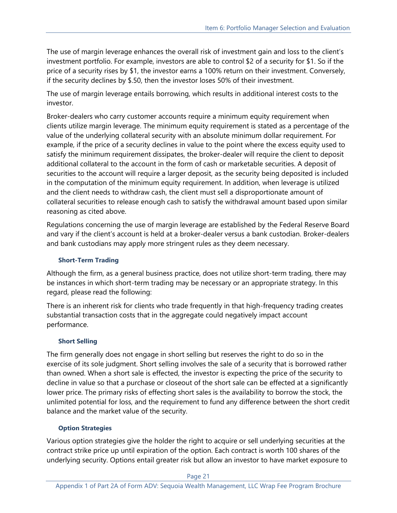The use of margin leverage enhances the overall risk of investment gain and loss to the client's investment portfolio. For example, investors are able to control \$2 of a security for \$1. So if the price of a security rises by \$1, the investor earns a 100% return on their investment. Conversely, if the security declines by \$.50, then the investor loses 50% of their investment.

The use of margin leverage entails borrowing, which results in additional interest costs to the investor.

Broker-dealers who carry customer accounts require a minimum equity requirement when clients utilize margin leverage. The minimum equity requirement is stated as a percentage of the value of the underlying collateral security with an absolute minimum dollar requirement. For example, if the price of a security declines in value to the point where the excess equity used to satisfy the minimum requirement dissipates, the broker-dealer will require the client to deposit additional collateral to the account in the form of cash or marketable securities. A deposit of securities to the account will require a larger deposit, as the security being deposited is included in the computation of the minimum equity requirement. In addition, when leverage is utilized and the client needs to withdraw cash, the client must sell a disproportionate amount of collateral securities to release enough cash to satisfy the withdrawal amount based upon similar reasoning as cited above.

Regulations concerning the use of margin leverage are established by the Federal Reserve Board and vary if the client's account is held at a broker-dealer versus a bank custodian. Broker-dealers and bank custodians may apply more stringent rules as they deem necessary.

### **Short-Term Trading**

Although the firm, as a general business practice, does not utilize short-term trading, there may be instances in which short-term trading may be necessary or an appropriate strategy. In this regard, please read the following:

There is an inherent risk for clients who trade frequently in that high-frequency trading creates substantial transaction costs that in the aggregate could negatively impact account performance.

# **Short Selling**

The firm generally does not engage in short selling but reserves the right to do so in the exercise of its sole judgment. Short selling involves the sale of a security that is borrowed rather than owned. When a short sale is effected, the investor is expecting the price of the security to decline in value so that a purchase or closeout of the short sale can be effected at a significantly lower price. The primary risks of effecting short sales is the availability to borrow the stock, the unlimited potential for loss, and the requirement to fund any difference between the short credit balance and the market value of the security.

### **Option Strategies**

Various option strategies give the holder the right to acquire or sell underlying securities at the contract strike price up until expiration of the option. Each contract is worth 100 shares of the underlying security. Options entail greater risk but allow an investor to have market exposure to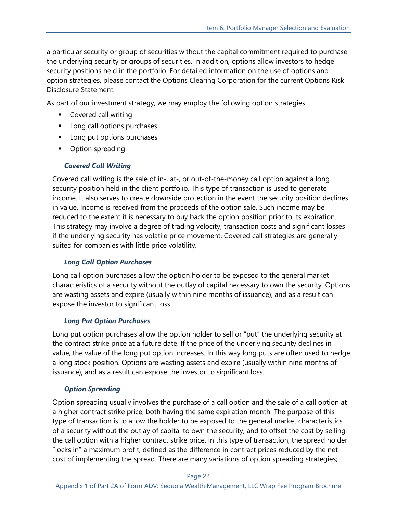a particular security or group of securities without the capital commitment required to purchase the underlying security or groups of securities. In addition, options allow investors to hedge security positions held in the portfolio. For detailed information on the use of options and option strategies, please contact the Options Clearing Corporation for the current Options Risk Disclosure Statement.

As part of our investment strategy, we may employ the following option strategies:

- Covered call writing
- Long call options purchases
- Long put options purchases
- Option spreading

## *Covered Call Writing*

Covered call writing is the sale of in-, at-, or out-of-the-money call option against a long security position held in the client portfolio. This type of transaction is used to generate income. It also serves to create downside protection in the event the security position declines in value. Income is received from the proceeds of the option sale. Such income may be reduced to the extent it is necessary to buy back the option position prior to its expiration. This strategy may involve a degree of trading velocity, transaction costs and significant losses if the underlying security has volatile price movement. Covered call strategies are generally suited for companies with little price volatility.

### *Long Call Option Purchases*

Long call option purchases allow the option holder to be exposed to the general market characteristics of a security without the outlay of capital necessary to own the security. Options are wasting assets and expire (usually within nine months of issuance), and as a result can expose the investor to significant loss.

### *Long Put Option Purchases*

Long put option purchases allow the option holder to sell or "put" the underlying security at the contract strike price at a future date. If the price of the underlying security declines in value, the value of the long put option increases. In this way long puts are often used to hedge a long stock position. Options are wasting assets and expire (usually within nine months of issuance), and as a result can expose the investor to significant loss.

### *Option Spreading*

Option spreading usually involves the purchase of a call option and the sale of a call option at a higher contract strike price, both having the same expiration month. The purpose of this type of transaction is to allow the holder to be exposed to the general market characteristics of a security without the outlay of capital to own the security, and to offset the cost by selling the call option with a higher contract strike price. In this type of transaction, the spread holder "locks in" a maximum profit, defined as the difference in contract prices reduced by the net cost of implementing the spread. There are many variations of option spreading strategies;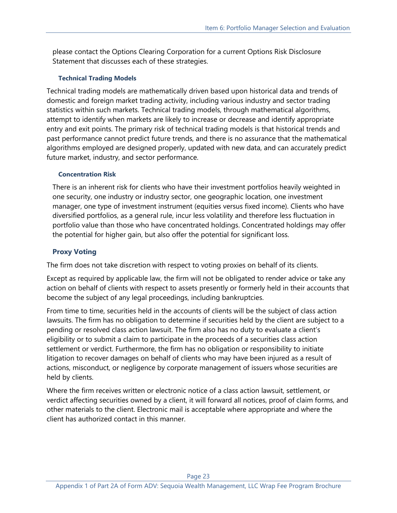please contact the Options Clearing Corporation for a current Options Risk Disclosure Statement that discusses each of these strategies.

#### **Technical Trading Models**

Technical trading models are mathematically driven based upon historical data and trends of domestic and foreign market trading activity, including various industry and sector trading statistics within such markets. Technical trading models, through mathematical algorithms, attempt to identify when markets are likely to increase or decrease and identify appropriate entry and exit points. The primary risk of technical trading models is that historical trends and past performance cannot predict future trends, and there is no assurance that the mathematical algorithms employed are designed properly, updated with new data, and can accurately predict future market, industry, and sector performance.

### **Concentration Risk**

There is an inherent risk for clients who have their investment portfolios heavily weighted in one security, one industry or industry sector, one geographic location, one investment manager, one type of investment instrument (equities versus fixed income). Clients who have diversified portfolios, as a general rule, incur less volatility and therefore less fluctuation in portfolio value than those who have concentrated holdings. Concentrated holdings may offer the potential for higher gain, but also offer the potential for significant loss.

## **Proxy Voting**

The firm does not take discretion with respect to voting proxies on behalf of its clients.

Except as required by applicable law, the firm will not be obligated to render advice or take any action on behalf of clients with respect to assets presently or formerly held in their accounts that become the subject of any legal proceedings, including bankruptcies.

From time to time, securities held in the accounts of clients will be the subject of class action lawsuits. The firm has no obligation to determine if securities held by the client are subject to a pending or resolved class action lawsuit. The firm also has no duty to evaluate a client's eligibility or to submit a claim to participate in the proceeds of a securities class action settlement or verdict. Furthermore, the firm has no obligation or responsibility to initiate litigation to recover damages on behalf of clients who may have been injured as a result of actions, misconduct, or negligence by corporate management of issuers whose securities are held by clients.

Where the firm receives written or electronic notice of a class action lawsuit, settlement, or verdict affecting securities owned by a client, it will forward all notices, proof of claim forms, and other materials to the client. Electronic mail is acceptable where appropriate and where the client has authorized contact in this manner.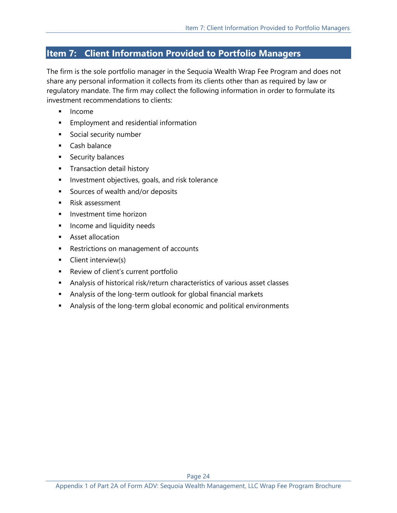# <span id="page-23-0"></span>**Item 7: Client Information Provided to Portfolio Managers**

The firm is the sole portfolio manager in the Sequoia Wealth Wrap Fee Program and does not share any personal information it collects from its clients other than as required by law or regulatory mandate. The firm may collect the following information in order to formulate its investment recommendations to clients:

- **Income**
- **Employment and residential information**
- Social security number
- Cash balance
- Security balances
- **■** Transaction detail history
- **■** Investment objectives, goals, and risk tolerance
- Sources of wealth and/or deposits
- Risk assessment
- **■** Investment time horizon
- **■** Income and liquidity needs
- Asset allocation
- Restrictions on management of accounts
- Client interview(s)
- Review of client's current portfolio
- **■** Analysis of historical risk/return characteristics of various asset classes
- Analysis of the long-term outlook for global financial markets
- Analysis of the long-term global economic and political environments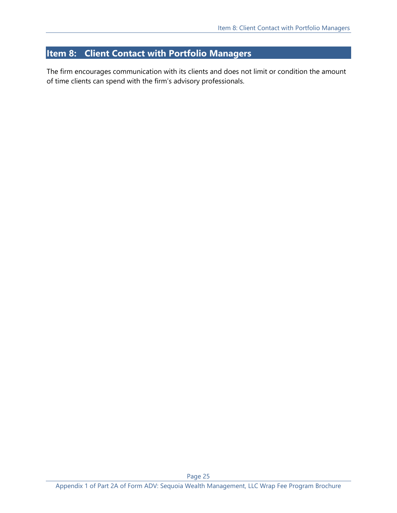# <span id="page-24-0"></span>**Item 8: Client Contact with Portfolio Managers**

The firm encourages communication with its clients and does not limit or condition the amount of time clients can spend with the firm's advisory professionals.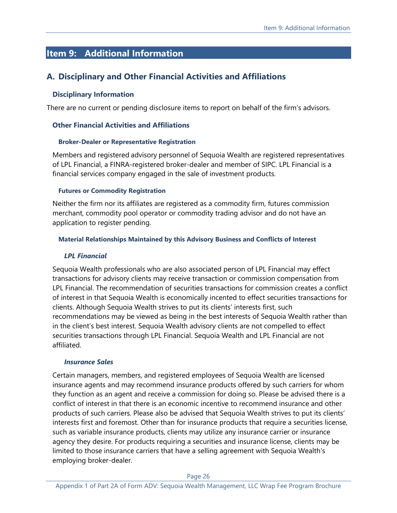# <span id="page-25-0"></span>**Item 9: Additional Information**

# **A. Disciplinary and Other Financial Activities and Affiliations**

#### **Disciplinary Information**

There are no current or pending disclosure items to report on behalf of the firm's advisors.

#### **Other Financial Activities and Affiliations**

#### **Broker-Dealer or Representative Registration**

Members and registered advisory personnel of Sequoia Wealth are registered representatives of LPL Financial, a FINRA-registered broker-dealer and member of SIPC. LPL Financial is a financial services company engaged in the sale of investment products.

#### **Futures or Commodity Registration**

Neither the firm nor its affiliates are registered as a commodity firm, futures commission merchant, commodity pool operator or commodity trading advisor and do not have an application to register pending.

#### **Material Relationships Maintained by this Advisory Business and Conflicts of Interest**

#### *LPL Financial*

Sequoia Wealth professionals who are also associated person of LPL Financial may effect transactions for advisory clients may receive transaction or commission compensation from LPL Financial. The recommendation of securities transactions for commission creates a conflict of interest in that Sequoia Wealth is economically incented to effect securities transactions for clients. Although Sequoia Wealth strives to put its clients' interests first, such recommendations may be viewed as being in the best interests of Sequoia Wealth rather than in the client's best interest. Sequoia Wealth advisory clients are not compelled to effect securities transactions through LPL Financial. Sequoia Wealth and LPL Financial are not affiliated.

#### *Insurance Sales*

Certain managers, members, and registered employees of Sequoia Wealth are licensed insurance agents and may recommend insurance products offered by such carriers for whom they function as an agent and receive a commission for doing so. Please be advised there is a conflict of interest in that there is an economic incentive to recommend insurance and other products of such carriers. Please also be advised that Sequoia Wealth strives to put its clients' interests first and foremost. Other than for insurance products that require a securities license, such as variable insurance products, clients may utilize any insurance carrier or insurance agency they desire. For products requiring a securities and insurance license, clients may be limited to those insurance carriers that have a selling agreement with Sequoia Wealth's employing broker-dealer.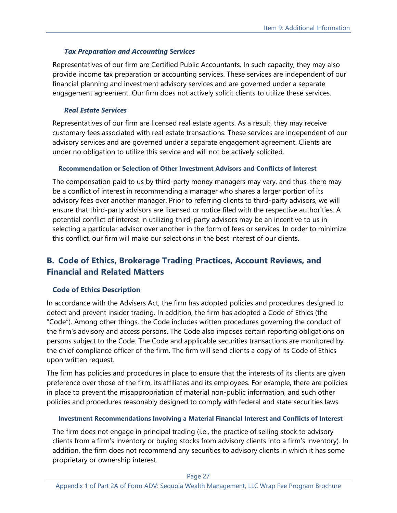### *Tax Preparation and Accounting Services*

Representatives of our firm are Certified Public Accountants. In such capacity, they may also provide income tax preparation or accounting services. These services are independent of our financial planning and investment advisory services and are governed under a separate engagement agreement. Our firm does not actively solicit clients to utilize these services.

#### *Real Estate Services*

Representatives of our firm are licensed real estate agents. As a result, they may receive customary fees associated with real estate transactions. These services are independent of our advisory services and are governed under a separate engagement agreement. Clients are under no obligation to utilize this service and will not be actively solicited.

#### **Recommendation or Selection of Other Investment Advisors and Conflicts of Interest**

The compensation paid to us by third-party money managers may vary, and thus, there may be a conflict of interest in recommending a manager who shares a larger portion of its advisory fees over another manager. Prior to referring clients to third-party advisors, we will ensure that third-party advisors are licensed or notice filed with the respective authorities. A potential conflict of interest in utilizing third-party advisors may be an incentive to us in selecting a particular advisor over another in the form of fees or services. In order to minimize this conflict, our firm will make our selections in the best interest of our clients.

# **B. Code of Ethics, Brokerage Trading Practices, Account Reviews, and Financial and Related Matters**

### **Code of Ethics Description**

In accordance with the Advisers Act, the firm has adopted policies and procedures designed to detect and prevent insider trading. In addition, the firm has adopted a Code of Ethics (the "Code"). Among other things, the Code includes written procedures governing the conduct of the firm's advisory and access persons. The Code also imposes certain reporting obligations on persons subject to the Code. The Code and applicable securities transactions are monitored by the chief compliance officer of the firm. The firm will send clients a copy of its Code of Ethics upon written request.

The firm has policies and procedures in place to ensure that the interests of its clients are given preference over those of the firm, its affiliates and its employees. For example, there are policies in place to prevent the misappropriation of material non-public information, and such other policies and procedures reasonably designed to comply with federal and state securities laws.

### **Investment Recommendations Involving a Material Financial Interest and Conflicts of Interest**

The firm does not engage in principal trading (i.e., the practice of selling stock to advisory clients from a firm's inventory or buying stocks from advisory clients into a firm's inventory). In addition, the firm does not recommend any securities to advisory clients in which it has some proprietary or ownership interest.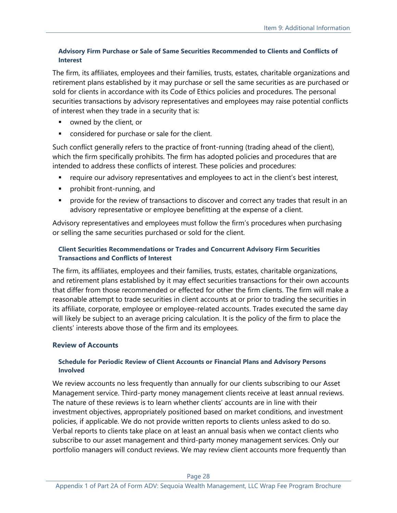#### **Advisory Firm Purchase or Sale of Same Securities Recommended to Clients and Conflicts of Interest**

The firm, its affiliates, employees and their families, trusts, estates, charitable organizations and retirement plans established by it may purchase or sell the same securities as are purchased or sold for clients in accordance with its Code of Ethics policies and procedures. The personal securities transactions by advisory representatives and employees may raise potential conflicts of interest when they trade in a security that is:

- owned by the client, or
- **•** considered for purchase or sale for the client.

Such conflict generally refers to the practice of front-running (trading ahead of the client), which the firm specifically prohibits. The firm has adopted policies and procedures that are intended to address these conflicts of interest. These policies and procedures:

- require our advisory representatives and employees to act in the client's best interest,
- prohibit front-running, and
- **•** provide for the review of transactions to discover and correct any trades that result in an advisory representative or employee benefitting at the expense of a client.

Advisory representatives and employees must follow the firm's procedures when purchasing or selling the same securities purchased or sold for the client.

#### **Client Securities Recommendations or Trades and Concurrent Advisory Firm Securities Transactions and Conflicts of Interest**

The firm, its affiliates, employees and their families, trusts, estates, charitable organizations, and retirement plans established by it may effect securities transactions for their own accounts that differ from those recommended or effected for other the firm clients. The firm will make a reasonable attempt to trade securities in client accounts at or prior to trading the securities in its affiliate, corporate, employee or employee-related accounts. Trades executed the same day will likely be subject to an average pricing calculation. It is the policy of the firm to place the clients' interests above those of the firm and its employees.

#### **Review of Accounts**

#### **Schedule for Periodic Review of Client Accounts or Financial Plans and Advisory Persons Involved**

We review accounts no less frequently than annually for our clients subscribing to our Asset Management service. Third-party money management clients receive at least annual reviews. The nature of these reviews is to learn whether clients' accounts are in line with their investment objectives, appropriately positioned based on market conditions, and investment policies, if applicable. We do not provide written reports to clients unless asked to do so. Verbal reports to clients take place on at least an annual basis when we contact clients who subscribe to our asset management and third-party money management services. Only our portfolio managers will conduct reviews. We may review client accounts more frequently than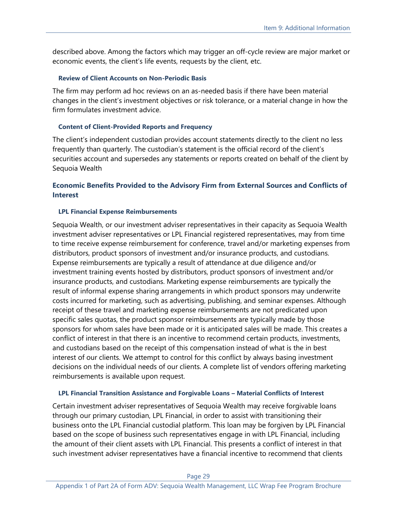described above. Among the factors which may trigger an off-cycle review are major market or economic events, the client's life events, requests by the client, etc.

#### **Review of Client Accounts on Non-Periodic Basis**

The firm may perform ad hoc reviews on an as-needed basis if there have been material changes in the client's investment objectives or risk tolerance, or a material change in how the firm formulates investment advice.

#### **Content of Client-Provided Reports and Frequency**

The client's independent custodian provides account statements directly to the client no less frequently than quarterly. The custodian's statement is the official record of the client's securities account and supersedes any statements or reports created on behalf of the client by Sequoia Wealth

#### **Economic Benefits Provided to the Advisory Firm from External Sources and Conflicts of Interest**

#### **LPL Financial Expense Reimbursements**

Sequoia Wealth, or our investment adviser representatives in their capacity as Sequoia Wealth investment adviser representatives or LPL Financial registered representatives, may from time to time receive expense reimbursement for conference, travel and/or marketing expenses from distributors, product sponsors of investment and/or insurance products, and custodians. Expense reimbursements are typically a result of attendance at due diligence and/or investment training events hosted by distributors, product sponsors of investment and/or insurance products, and custodians. Marketing expense reimbursements are typically the result of informal expense sharing arrangements in which product sponsors may underwrite costs incurred for marketing, such as advertising, publishing, and seminar expenses. Although receipt of these travel and marketing expense reimbursements are not predicated upon specific sales quotas, the product sponsor reimbursements are typically made by those sponsors for whom sales have been made or it is anticipated sales will be made. This creates a conflict of interest in that there is an incentive to recommend certain products, investments, and custodians based on the receipt of this compensation instead of what is the in best interest of our clients. We attempt to control for this conflict by always basing investment decisions on the individual needs of our clients. A complete list of vendors offering marketing reimbursements is available upon request.

#### **LPL Financial Transition Assistance and Forgivable Loans – Material Conflicts of Interest**

Certain investment adviser representatives of Sequoia Wealth may receive forgivable loans through our primary custodian, LPL Financial, in order to assist with transitioning their business onto the LPL Financial custodial platform. This loan may be forgiven by LPL Financial based on the scope of business such representatives engage in with LPL Financial, including the amount of their client assets with LPL Financial. This presents a conflict of interest in that such investment adviser representatives have a financial incentive to recommend that clients